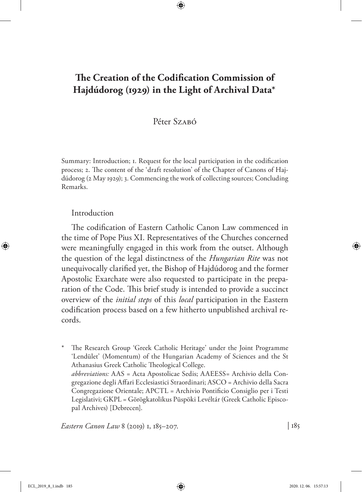# **The Creation of the Codification Commission of Hajdúdorog (1929) in the Light of Archival Data\***

## Péter Szaró

Summary: Introduction; 1. Request for the local participation in the codification process; 2. The content of the 'draft resolution' of the Chapter of Canons of Hajdúdorog (2 May 1929); 3. Commencing the work of collecting sources; Concluding Remarks.

### Introduction

The codification of Eastern Catholic Canon Law commenced in the time of Pope Pius XI. Representatives of the Churches concerned were meaningfully engaged in this work from the outset. Although the question of the legal distinctness of the *Hungarian Rite* was not unequivocally clarified yet, the Bishop of Hajdúdorog and the former Apostolic Exarchate were also requested to participate in the preparation of the Code. This brief study is intended to provide a succinct overview of the *initial steps* of this *local* participation in the Eastern codification process based on a few hitherto unpublished archival records.

The Research Group 'Greek Catholic Heritage' under the Joint Programme 'Lendület' (Momentum) of the Hungarian Academy of Sciences and the St Athanasius Greek Catholic Theological College. *abbreviations:* AAS = Acta Apostolicae Sedis; AAEESS= Archivio della Congregazione degli Affari Ecclesiastici Straordinari; ASCO = Archivio della Sacra Congregazione Orientale; APCTL = Archivio Pontificio Consiglio per i Testi Legislativi; GKPL = Görögkatolikus Püspöki Levéltár (Greek Catholic Episcopal Archives) [Debrecen].

*Eastern Canon Law* 8 (2019) 1, 185–207. | 185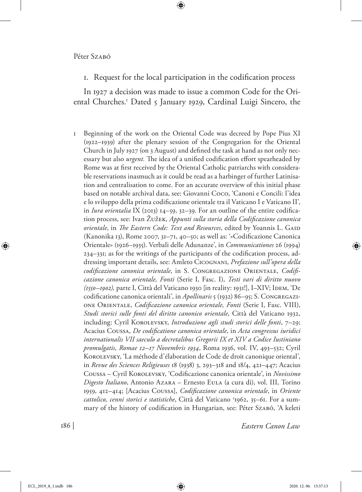1. Request for the local participation in the codification process

In 1927 a decision was made to issue a common Code for the Oriental Churches.1 Dated 5 January 1929, Cardinal Luigi Sincero, the

1 Beginning of the work on the Oriental Code was decreed by Pope Pius XI (1922–1939) after the plenary session of the Congregation for the Oriental Church in July 1927 (on 3 August) and defined the task at hand as not only necessary but also *urgent.* The idea of a unified codification effort spearheaded by Rome was at first received by the Oriental Catholic patriarchs with considerable reservations inasmuch as it could be read as a harbinger of further Latinisation and centralisation to come. For an accurate overview of this initial phase based on notable archival data, see: Giovanni Coco, 'Canoni e Concili: l'idea e lo sviluppo della prima codificazione orientale tra il Vaticano I e Vaticano II', in *Iura orientalia* IX (2013) 14–59, 32–39. For an outline of the entire codification process, see: Ivan Žužek, *Appunti sulla storia della Codificazione canonica orientale*, in *The Eastern Code: Text and Resources*, edited by Yoannis L. GAID (Kanonika 13), Rome 2007, 31–71, 40–50; as well as: '«Codificazione Canonica Orientale» (1926–1935). Verbali delle Adunanze', in *Communicationes* 26 (1994) 234–331; as for the writings of the participants of the codification process, addressing important details, see: Amleto Cicognani, *Prefazione sull'opera della codificazione canonica orientale*, in S. Congregazione Orientale, *Codificazione canonica orientale, Fonti* (Serie I, Fasc. I), *Testi vari di diritto nuovo (1550–1902),* parte I, Città del Vaticano 1930 [in reality: 1931!], I–XIV; Idem, 'De codificatione canonica orientali', in *Apollinaris* 5 (1932) 86–95; S. Congregazione Orientale, *Codificazione canonica orientale, Fonti* (Serie I, Fasc. VIII), *Studi storici sulle fonti del diritto canonico orientale*, Città del Vaticano 1932, including: Cyril KOROLEVSKY, *Introduzione agli studi storici delle fonti*, 7-29; Acacius Coussa, *De codificatione canonica orientale*, in *Acta congressus iuridici internationalis VII saeculo a decretalibus Gregorii IX et XIV a Codice Iustiniano promulgatis, Romae 12–17 Novembris 1934*, Roma 1936, vol. IV, 493–532; Cyril Korolevsky, 'La méthode d'élaboration de Code de droit canonique oriental', in *Revue des Sciences Religieuses* 18 (1938) 3, 293–318 and 18/4, 421–447; Acacius Coussa – Cyril Korolevsky, 'Codificazione canonica orientale', in *Novissimo Digesto Italiano*, Antonio Azara – Ernesto Eula (a cura di), vol. III, Torino 1959, 412–414; [Acacius Coussa], *Codificazione canonica orientale*, in *Oriente cattolico, cenni storici e statistiche*, Città del Vaticano 3 1962, 35–61. For a summary of the history of codification in Hungarian, see: Péter Szabó, 'A keleti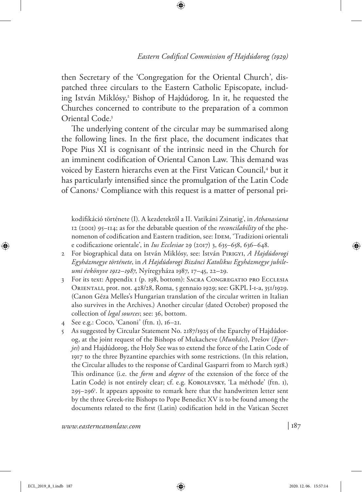then Secretary of the 'Congregation for the Oriental Church', dispatched three circulars to the Eastern Catholic Episcopate, including István Miklósy,<sup>2</sup> Bishop of Hajdúdorog. In it, he requested the Churches concerned to contribute to the preparation of a common Oriental Code.3

The underlying content of the circular may be summarised along the following lines. In the first place, the document indicates that Pope Pius XI is cognisant of the intrinsic need in the Church for an imminent codification of Oriental Canon Law. This demand was voiced by Eastern hierarchs even at the First Vatican Council,<sup>4</sup> but it has particularly intensified since the promulgation of the Latin Code of Canons.<sup>5</sup> Compliance with this request is a matter of personal pri-

kodifikáció története (I). A kezdetektől a II. Vatikáni Zsinatig', in *Athanasiana*  12 (2001) 95–114; as for the debatable question of the *reconcilability* of the phenomenon of codification and Eastern tradition, see: IDEM, 'Tradizioni orientali e codificazione orientale', in *Ius Ecclesiae* 29 (2017) 3, 635–658, 636–648.

- 2 For biographical data on István Miklósy, see: István Pirigyi, *A Hajdúdorogi Egyházmegye története*, in *A Hajdúdorogi Bizánci Katolikus Egyházmegye jubileumi évkönyve 1912–1987*, Nyíregyháza 1987, 17–45, 22–29.
- 3 For its text: Appendix 1 (p. 198, bottom): Sacra Congregatio pro Ecclesia Orientali, prot. not. 428/28, Roma, 5 gennaio 1929; see: GKPL I-1-a, 351/1929. (Canon Géza Melles's Hungarian translation of the circular written in Italian also survives in the Archives.) Another circular (dated October) proposed the collection of *legal sources*; see: 36, bottom.
- 4 See e.g.: Coco, 'Canoni' (ftn. 1), 16–21.
- 5 As suggested by Circular Statement No. 2187/1925 of the Eparchy of Hajdúdorog, at the joint request of the Bishops of Mukacheve (*Munkács*), Prešov (*Eperjes*) and Hajdúdorog, the Holy See was to extend the force of the Latin Code of 1917 to the three Byzantine eparchies with some restrictions. (In this relation, the Circular alludes to the response of Cardinal Gasparri from 10 March 1918.) This ordinance (i.e. the *form* and *degree* of the extension of the force of the Latin Code) is not entirely clear; cf. e.g. KOROLEVSKY, 'La méthode' (ftn. 1), 295–2961 . It appears apposite to remark here that the handwritten letter sent by the three Greek-rite Bishops to Pope Benedict XV is to be found among the documents related to the first (Latin) codification held in the Vatican Secret

*www.easterncanonlaw.com*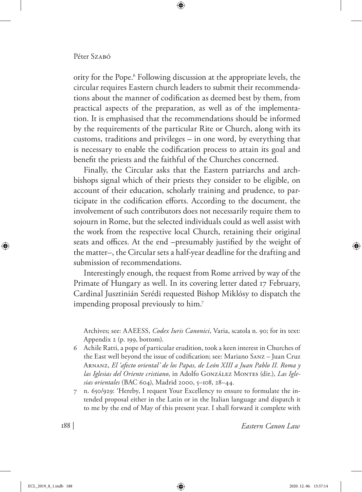#### Péter Szaró

ority for the Pope.<sup>6</sup> Following discussion at the appropriate levels, the circular requires Eastern church leaders to submit their recommendations about the manner of codification as deemed best by them, from practical aspects of the preparation, as well as of the implementation. It is emphasised that the recommendations should be informed by the requirements of the particular Rite or Church, along with its customs, traditions and privileges – in one word, by everything that is necessary to enable the codification process to attain its goal and benefit the priests and the faithful of the Churches concerned.

Finally, the Circular asks that the Eastern patriarchs and archbishops signal which of their priests they consider to be eligible, on account of their education, scholarly training and prudence, to participate in the codification efforts. According to the document, the involvement of such contributors does not necessarily require them to sojourn in Rome, but the selected individuals could as well assist with the work from the respective local Church, retaining their original seats and offices. At the end –presumably justified by the weight of the matter–, the Circular sets a half-year deadline for the drafting and submission of recommendations.

Interestingly enough, the request from Rome arrived by way of the Primate of Hungary as well. In its covering letter dated 17 February, Cardinal Jusztinián Serédi requested Bishop Miklósy to dispatch the impending proposal previously to him.7

Archives; see: AAEESS, *Codex Iuris Canonici*, Varia, scatola n. 90; for its text: Appendix 2 (p. 199, bottom).

- 6 Achile Ratti, a pope of particular erudition, took a keen interest in Churches of the East well beyond the issue of codification; see: Mariano Sanz *–* Juan Cruz Arnanz, *El 'afecto oriental' de los Papas, de León XIII a Juan Pablo II. Roma y*  las Iglesias del Oriente cristiano, in Adolfo GONZÁLEZ MONTES (dir.), Las Igle*sias orientales* (BAC 604), Madrid 2000, 5–108, 28–44.
- 7 n. 650/929: 'Hereby, I request Your Excellency to ensure to formulate the intended proposal either in the Latin or in the Italian language and dispatch it to me by the end of May of this present year. I shall forward it complete with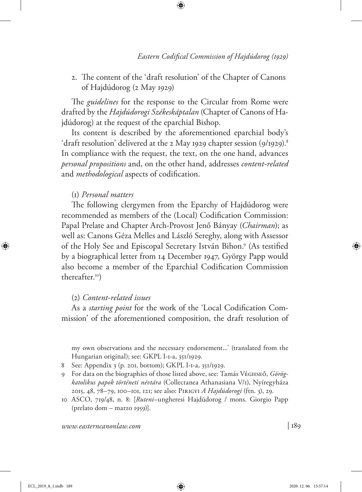2. The content of the 'draft resolution' of the Chapter of Canons of Hajdúdorog (2 May 1929)

The *guidelines* for the response to the Circular from Rome were drafted by the *Hajdúdorogi Székeskáptalan* (Chapter of Canons of Hajdúdorog) at the request of the eparchial Bishop.

Its content is described by the aforementioned eparchial body's 'draft resolution' delivered at the 2 May 1929 chapter session (9/1929).<sup>8</sup> In compliance with the request, the text, on the one hand, advances *personal propositions* and, on the other hand, addresses *content-related*  and *methodological* aspects of codification.

#### (1) *Personal matters*

The following clergymen from the Eparchy of Hajdúdorog were recommended as members of the (Local) Codification Commission: Papal Prelate and Chapter Arch-Provost Jenő Bányay (*Chairman*); as well as: Canons Géza Melles and László Sereghy, along with Assessor of the Holy See and Episcopal Secretary István Bihon.9 (As testified by a biographical letter from 14 December 1947, György Papp would also become a member of the Eparchial Codification Commission thereafter.10)

### (2) *Content-related issues*

As a *starting point* for the work of the 'Local Codification Commission' of the aforementioned composition, the draft resolution of

my own observations and the necessary endorsement...' (translated from the Hungarian original); see: GKPL I-1-a, 351/1929.

- 8 See: Appendix 3 (p. 201, bottom); GKPL I-1-a, 351/1929.
- 9 For data on the biographies of those listed above, see: Tamás VÉGHSEŐ, *Görögkatolikus papok történeti névtára* (Collectanea Athanasiana V/1), Nyíregyháza 2015, 48, 78–79, 100–101, 121; see also: Pirigyi *A Hajdúdorogi* (ftn. 3), 29.
- 10 ASCO, 719/48, n. 8: [*Ruteni*–ungheresi Hajdúdorog / mons. Giorgio Papp (prelato dom – marzo 1959)].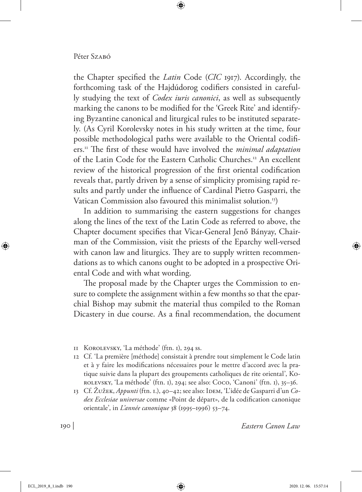#### Péter Szaró

the Chapter specified the *Latin* Code (*CIC* 1917). Accordingly, the forthcoming task of the Hajdúdorog codifiers consisted in carefully studying the text of *Codex iuris canonici*, as well as subsequently marking the canons to be modified for the 'Greek Rite' and identifying Byzantine canonical and liturgical rules to be instituted separately. (As Cyril Korolevsky notes in his study written at the time, four possible methodological paths were available to the Oriental codifiers.11 The first of these would have involved the *minimal adaptation* of the Latin Code for the Eastern Catholic Churches.<sup>12</sup> An excellent review of the historical progression of the first oriental codification reveals that, partly driven by a sense of simplicity promising rapid results and partly under the influence of Cardinal Pietro Gasparri, the Vatican Commission also favoured this minimalist solution.13)

In addition to summarising the eastern suggestions for changes along the lines of the text of the Latin Code as referred to above, the Chapter document specifies that Vicar-General Jenő Bányay, Chairman of the Commission, visit the priests of the Eparchy well-versed with canon law and liturgics. They are to supply written recommendations as to which canons ought to be adopted in a prospective Oriental Code and with what wording.

The proposal made by the Chapter urges the Commission to ensure to complete the assignment within a few months so that the eparchial Bishop may submit the material thus compiled to the Roman Dicastery in due course. As a final recommendation, the document

- 12 Cf. 'La première [méthode] consistait à prendre tout simplement le Code latin et à y faire les modifications nécessaires pour le mettre d'accord avec la pratique suivie dans la plupart des groupements catholiques de rite oriental', Korolevsky, 'La méthode' (ftn. 1), 294; see also: Coco, 'Canoni' (ftn. 1), 35–36.
- 13 Cf. Žužek, *Appunti* (ftn. 1.), 40–42; see also: IDEM, 'L'idée de Gasparri d'un *Codex Ecclesiae universae* comme «Point de départ», de la codification canonique orientale', in *L'année canonique* 38 (1995–1996) 53–74.

<sup>11</sup> Korolevsky, 'La méthode' (ftn. 1), 294 ss.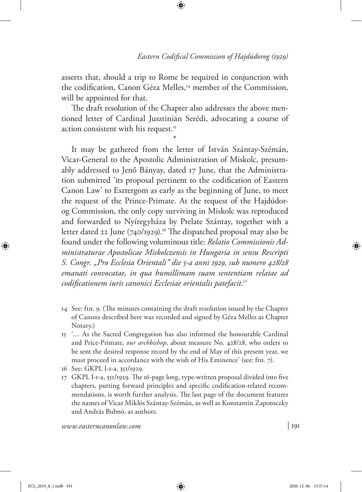asserts that, should a trip to Rome be required in conjunction with the codification, Canon Géza Melles,<sup>14</sup> member of the Commission, will be appointed for that.

The draft resolution of the Chapter also addresses the above mentioned letter of Cardinal Jusztinián Serédi, advocating a course of action consistent with his request.<sup>15</sup>

\* It may be gathered from the letter of István Szántay-Szémán, Vicar-General to the Apostolic Administration of Miskolc, presumably addressed to Jenő Bányay, dated 17 June, that the Administration submitted 'its proposal pertinent to the codification of Eastern Canon Law' to Esztergom as early as the beginning of June, to meet the request of the Prince-Primate. At the request of the Hajdúdorog Commission, the only copy surviving in Miskolc was reproduced and forwarded to Nyíregyháza by Prelate Szántay, together with a letter dated 22 June (740/1929).<sup>16</sup> The dispatched proposal may also be found under the following voluminous title: *Relatio Commissionis Administraturae Apostolicae Miskolczensis in Hungaria in sensu Rescripti S. Congr. "Pro Ecclesia Orientali" die 5-a anni 1929, sub numero 428/28 emanati convocatae, in qua humillimam suam sententiam relatae ad codificationem iuris canonici Ecclesiae orientalis patefacit*. 17

- 14 See: ftn. 9. (The minutes containing the draft resolution issued by the Chapter of Canons described here was recorded and signed by Géza Melles as Chapter Notary.)
- 15 '… As the Sacred Congregation has also informed the honourable Cardinal and Price-Primate, *our archbishop*, about measure No. 428/28, who orders to be sent the desired response record by the end of May of this present year, we must proceed in accordance with the wish of His Eminence' (see: ftn. 7).
- 16 See: GKPL I-1-a, 351/1929.
- 17 GKPL I-1-a, 351/1929. The 16-page long, type-written proposal divided into five chapters, putting forward principles and specific codification-related recommendations, is worth further analysis. The last page of the document features the names of Vicar Miklós Szántay-Szémán, as well as Konstantin Zapotoczky and András Bubnó, as authors.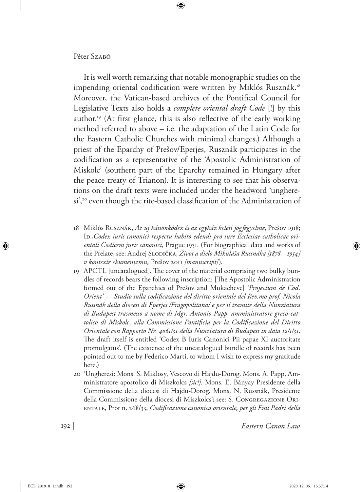#### Péter Szabó

It is well worth remarking that notable monographic studies on the impending oriental codification were written by Miklós Rusznák.<sup>18</sup> Moreover, the Vatican-based archives of the Pontifical Council for Legislative Texts also holds a *complete oriental draft Code* [!] by this author.19 (At first glance, this is also reflective of the early working method referred to above – i.e. the adaptation of the Latin Code for the Eastern Catholic Churches with minimal changes.) Although a priest of the Eparchy of Prešov/Eperjes, Rusznák participates in the codification as a representative of the 'Apostolic Administration of Miskolc' (southern part of the Eparchy remained in Hungary after the peace treaty of Trianon). It is interesting to see that his observations on the draft texts were included under the headword 'ungheresi',<sup>20</sup> even though the rite-based classification of the Administration of

- 18 Miklós Rusznák, *Az uj kánonkódex és az egyház keleti jogfegyelme*, Prešov 1918; ID., Codex iuris canonici respectu habito edendi pro iure Ecclesiae catholicae ori*entali Codicem juris canonici*, Prague 1931. (For biographical data and works of the Prelate, see: Andrej Slodička, *Život a dielo Mikuláša Russnáka [1878 – 1954] v kontexte ekumenizmu,* Prešov 2011 *[manuscript]*).
- 19 APCTL [uncatalogued]. The cover of the material comprising two bulky bundles of records bears the following inscription: [The Apostolic Administration formed out of the Eparchies of Prešov and Mukacheve] *'Projectum de Cod. Orient'* — *Studio sulla codificazione del diritto orientale del Rev.mo prof. Nicola Russnák della diocesi di Eperjes /Fragopolitana/ e per il tramite della Nunziatura di Budapest trasmesso a nome di Mgr. Antonio Papp, amministratore greco-cattolico di Miskolc, alla Commissione Pontificia per la Codificazione del Diritto Orientale con Rapporto Nr. 4061/31 della Nunziatura di Budapest in data 12/1/31*. The draft itself is entitled 'Codex B Iuris Canonici Pii papae XI auctoritate promulgatus'. (The existence of the uncatalogued bundle of records has been pointed out to me by Federico Marti, to whom I wish to express my gratitude here.)
- 20 'Ungheresi: Mons. S. Miklosy, Vescovo di Hajdu-Dorog. Mons. A. Papp, Amministratore apostolico di Miszkolcs *[sic!]*. Mons. E. Bányay Presidente della Commissione della diocesi di Hajdu-Dorog. Mons. N. Russnák, Presidente della Commissione della diocesi di Miszkolcs'; see: S. Congregazione Orientale, Prot n. 268/33, *Codificazione canonica orientale, per gli Emi Padri della*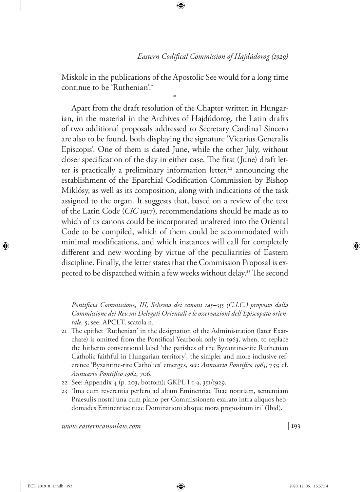Miskolc in the publications of the Apostolic See would for a long time continue to be 'Ruthenian'.<sup>21</sup>

\* Apart from the draft resolution of the Chapter written in Hungarian, in the material in the Archives of Hajdúdorog, the Latin drafts of two additional proposals addressed to Secretary Cardinal Sincero are also to be found, both displaying the signature 'Vicarius Generalis Episcopis'. One of them is dated June, while the other July, without closer specification of the day in either case. The first (June) draft letter is practically a preliminary information letter, $22$  announcing the establishment of the Eparchial Codification Commission by Bishop Miklósy, as well as its composition, along with indications of the task assigned to the organ. It suggests that, based on a review of the text of the Latin Code (*CIC* 1917), recommendations should be made as to which of its canons could be incorporated unaltered into the Oriental Code to be compiled, which of them could be accommodated with minimal modifications, and which instances will call for completely different and new wording by virtue of the peculiarities of Eastern discipline. Finally, the letter states that the Commission Proposal is expected to be dispatched within a few weeks without delay.<sup>23</sup> The second

*Pontificia Commissione, III, Schema dei canoni 145–355 (C.I.C.) proposto dalla Commissione dei Rev.mi Delegati Orientali e le osservazioni dell'Episcopato orientale,* 5; see: APCLT, scatola n.

- 21 The epithet 'Ruthenian' in the designation of the Administration (later Exarchate) is omitted from the Pontifical Yearbook only in 1963, when, to replace the hitherto conventional label 'the parishes of the Byzantine-rite Ruthenian Catholic faithful in Hungarian territory', the simpler and more inclusive reference 'Byzantine-rite Catholics' emerges, see: *Annuario Pontifico 1963*, 733; cf. *Annuario Pontifico 1962*, 706.
- 22 See: Appendix 4 (p. 203, bottom); GKPL I-1-a, 351/1929.
- 23 'Ima cum reverentia perfero ad altam Eminentiae Tuae notitiam, sententiam Praesulis nostri una cum plano per Commissionem exarato intra aliquos hebdomades Eminentiae tuae Dominationi absque mora propositum iri' (Ibid).

*www.easterncanonlaw.com*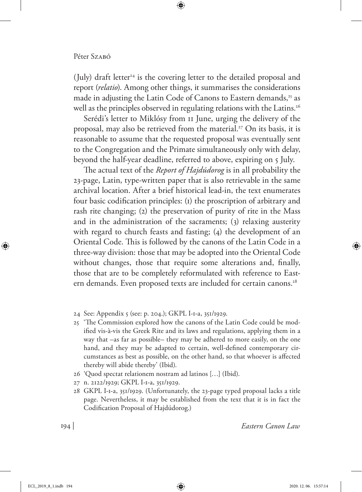(July) draft letter<sup>24</sup> is the covering letter to the detailed proposal and report (*relatio*). Among other things, it summarises the considerations made in adjusting the Latin Code of Canons to Eastern demands,<sup>25</sup> as well as the principles observed in regulating relations with the Latins.<sup>26</sup>

Serédi's letter to Miklósy from 11 June, urging the delivery of the proposal, may also be retrieved from the material.27 On its basis, it is reasonable to assume that the requested proposal was eventually sent to the Congregation and the Primate simultaneously only with delay, beyond the half-year deadline, referred to above, expiring on 5 July.

The actual text of the *Report of Hajdúdorog* is in all probability the 23-page, Latin, type-written paper that is also retrievable in the same archival location. After a brief historical lead-in, the text enumerates four basic codification principles: (1) the proscription of arbitrary and rash rite changing; (2) the preservation of purity of rite in the Mass and in the administration of the sacraments; (3) relaxing austerity with regard to church feasts and fasting; (4) the development of an Oriental Code. This is followed by the canons of the Latin Code in a three-way division: those that may be adopted into the Oriental Code without changes, those that require some alterations and, finally, those that are to be completely reformulated with reference to Eastern demands. Even proposed texts are included for certain canons.<sup>28</sup>

- 24 See: Appendix 5 (see: p. 204.); GKPL I-1-a, 351/1929.
- 25 'The Commission explored how the canons of the Latin Code could be modified vis-à-vis the Greek Rite and its laws and regulations, applying them in a way that –as far as possible– they may be adhered to more easily, on the one hand, and they may be adapted to certain, well-defined contemporary circumstances as best as possible, on the other hand, so that whoever is affected thereby will abide thereby' (Ibid).
- 26 'Quod spectat relationem nostram ad latinos […] (Ibid).
- 27 n. 2122/1929; GKPL I-1-a, 351/1929.
- 28 GKPL I-1-a, 351/1929. (Unfortunately, the 23-page typed proposal lacks a title page. Nevertheless, it may be established from the text that it is in fact the Codification Proposal of Hajdúdorog.)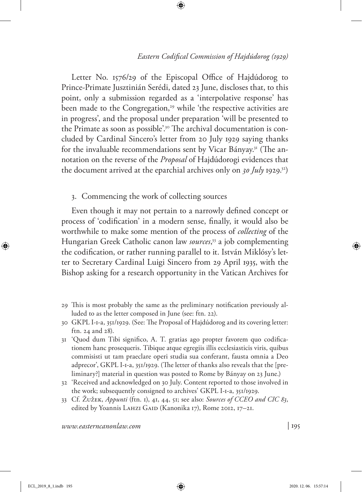Letter No. 1576/29 of the Episcopal Office of Hajdúdorog to Prince-Primate Jusztinián Serédi, dated 23 June, discloses that, to this point, only a submission regarded as a 'interpolative response' has been made to the Congregation,<sup>29</sup> while 'the respective activities are in progress', and the proposal under preparation 'will be presented to the Primate as soon as possible'.<sup>30</sup> The archival documentation is concluded by Cardinal Sincero's letter from 20 July 1929 saying thanks for the invaluable recommendations sent by Vicar Bányay.<sup>31</sup> (The annotation on the reverse of the *Proposal* of Hajdúdorogi evidences that the document arrived at the eparchial archives only on *30 July* 1929.32)

3. Commencing the work of collecting sources

Even though it may not pertain to a narrowly defined concept or process of 'codification' in a modern sense, finally, it would also be worthwhile to make some mention of the process of *collecting* of the Hungarian Greek Catholic canon law *sources*, 33 a job complementing the codification, or rather running parallel to it. István Miklósy's letter to Secretary Cardinal Luigi Sincero from 29 April 1935, with the Bishop asking for a research opportunity in the Vatican Archives for

- 29 This is most probably the same as the preliminary notification previously alluded to as the letter composed in June (see: ftn. 22).
- 30 GKPL I-1-a, 351/1929. (See: The Proposal of Hajdúdorog and its covering letter: ftn. 24 and 28).
- 31 'Quod dum Tibi significo, A. T. gratias ago propter favorem quo codificationem hanc prosequeris. Tibique atque egregiis illis ecclesiasticis viris, quibus commisisti ut tam praeclare operi studia sua conferant, fausta omnia a Deo adprecor', GKPL I-1-a, 351/1929. (The letter of thanks also reveals that the [preliminary?] material in question was posted to Rome by Bányay on 23 June.)
- 32 'Received and acknowledged on 30 July. Content reported to those involved in the work; subsequently consigned to archives' GKPL I-1-a, 351/1929.
- 33 Cf. Žužek, *Appunti* (ftn. 1), 41, 44, 51; see also: *Sources of CCEO and CIC 83*, edited by Yoannis LAHZI GAID (Kanonika 17), Rome 2012, 17-21.

*www.easterncanonlaw.com*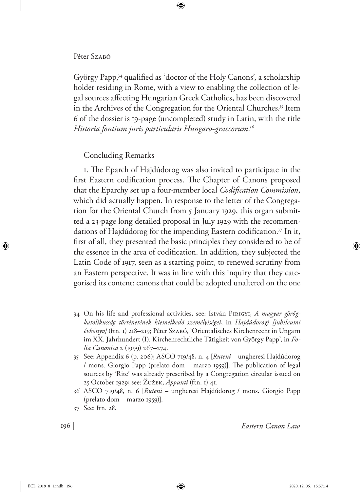#### Péter Szaró

György Papp,34 qualified as 'doctor of the Holy Canons', a scholarship holder residing in Rome, with a view to enabling the collection of legal sources affecting Hungarian Greek Catholics, has been discovered in the Archives of the Congregation for the Oriental Churches.<sup>35</sup> Item 6 of the dossier is 19-page (uncompleted) study in Latin, with the title *Historia fontium juris particularis Hungaro-graecorum*. 36

Concluding Remarks

1. The Eparch of Hajdúdorog was also invited to participate in the first Eastern codification process. The Chapter of Canons proposed that the Eparchy set up a four-member local *Codification Commission*, which did actually happen. In response to the letter of the Congregation for the Oriental Church from 5 January 1929, this organ submitted a 23-page long detailed proposal in July 1929 with the recommendations of Hajdúdorog for the impending Eastern codification.37 In it, first of all, they presented the basic principles they considered to be of the essence in the area of codification. In addition, they subjected the Latin Code of 1917, seen as a starting point, to renewed scrutiny from an Eastern perspective. It was in line with this inquiry that they categorised its content: canons that could be adopted unaltered on the one

- 34 On his life and professional activities, see: István Pirigyi, *A magyar görögkatolikusság történetének kiemelkedő személyiségei*, in *Hajdúdorogi [jubileumi évkönyv]* (ftn. 1) 218–219; Péter Szabó, 'Orientalisches Kirchenrecht in Ungarn im XX. Jahrhundert (I). Kirchenrechtliche Tätigkeit von György Papp', in *Folia Canonica* 2 (1999) 267–274.
- 35 See: Appendix 6 (p. 206); ASCO 719/48, n. 4 [*Ruteni* ungheresi Hajdúdorog / mons. Giorgio Papp (prelato dom – marzo 1959)]. The publication of legal sources by 'Rite' was already prescribed by a Congregation circular issued on 25 October 1929; see: Žužek, *Appunti* (ftn. 1) 41.
- 36 ASCO 719/48, n. 6 [*Ruteni* ungheresi Hajdúdorog / mons. Giorgio Papp (prelato dom – marzo 1959)].
- 37 See: ftn. 28.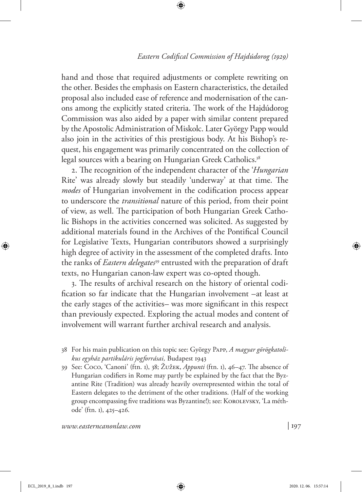hand and those that required adjustments or complete rewriting on the other. Besides the emphasis on Eastern characteristics, the detailed proposal also included ease of reference and modernisation of the canons among the explicitly stated criteria. The work of the Hajdúdorog Commission was also aided by a paper with similar content prepared by the Apostolic Administration of Miskolc. Later György Papp would also join in the activities of this prestigious body. At his Bishop's request, his engagement was primarily concentrated on the collection of legal sources with a bearing on Hungarian Greek Catholics.<sup>38</sup>

2. The recognition of the independent character of the '*Hungarian* Rite' was already slowly but steadily 'underway' at that time. The *modes* of Hungarian involvement in the codification process appear to underscore the *transitional* nature of this period, from their point of view, as well. The participation of both Hungarian Greek Catholic Bishops in the activities concerned was solicited. As suggested by additional materials found in the Archives of the Pontifical Council for Legislative Texts, Hungarian contributors showed a surprisingly high degree of activity in the assessment of the completed drafts. Into the ranks of *Eastern delegates*39 entrusted with the preparation of draft texts, no Hungarian canon-law expert was co-opted though.

3. The results of archival research on the history of oriental codification so far indicate that the Hungarian involvement –at least at the early stages of the activities– was more significant in this respect than previously expected. Exploring the actual modes and content of involvement will warrant further archival research and analysis.

- 38 For his main publication on this topic see: György Papp, *A magyar görögkatolikus egyház partikuláris jogforrásai,* Budapest 1943
- 39 See: Coco, 'Canoni' (ftn. 1), 38; Žužek, *Appunti* (ftn. 1), 46–47. The absence of Hungarian codifiers in Rome may partly be explained by the fact that the Byzantine Rite (Tradition) was already heavily overrepresented within the total of Eastern delegates to the detriment of the other traditions. (Half of the working group encompassing five traditions was Byzantine!); see: KOROLEVSKY, 'La méthode' (ftn. 1), 425–426.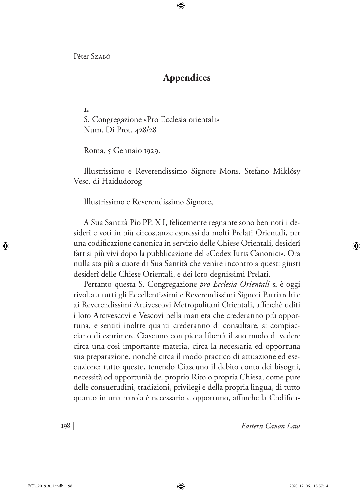# **Appendices**

**1.** S. Congregazione «Pro Ecclesia orientali» Num. Di Prot. 428/28

Roma, 5 Gennaio 1929.

Illustrissimo e Reverendissimo Signore Mons. Stefano Miklósy Vesc. di Haidudorog

Illustrissimo e Reverendissimo Signore,

A Sua Santità Pio PP. X I, felicemente regnante sono ben noti i desiderî e voti in più circostanze espressi da molti Prelati Orientali, per una codificazione canonica in servizio delle Chiese Orientali, desiderî fattisi più vivi dopo la pubblicazione del «Codex Iuris Canonici». Ora nulla sta più a cuore di Sua Santità che venire incontro a questi giusti desiderî delle Chiese Orientali, e dei loro degnissimi Prelati.

Pertanto questa S. Congregazione *pro Ecclesia Orientali* si è oggi rivolta a tutti gli Eccellentissimi e Reverendissimi Signori Patriarchi e ai Reverendissimi Arcivescovi Metropolitani Orientali, affinchè uditi i loro Arcivescovi e Vescovi nella maniera che crederanno più opportuna, e sentiti inoltre quanti crederanno di consultare, si compiacciano di esprimere Ciascuno con piena libertà il suo modo di vedere circa una così importante materia, circa la necessaria ed opportuna sua preparazione, nonchè circa il modo practico di attuazione ed esecuzione: tutto questo, tenendo Ciascuno il debito conto dei bisogni, necessità od opportunià del proprio Rito o propria Chiesa, come pure delle consuetudini, tradizioni, privilegi e della propria lingua, di tutto quanto in una parola è necessario e opportuno, affinchè la Codifica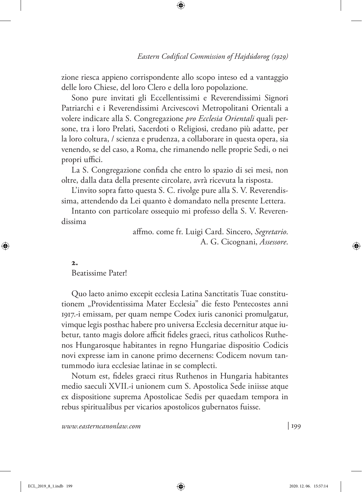zione riesca appieno corrispondente allo scopo inteso ed a vantaggio delle loro Chiese, del loro Clero e della loro popolazione.

Sono pure invitati gli Eccellentissimi e Reverendissimi Signori Patriarchi e i Reverendissimi Arcivescovi Metropolitani Orientali a volere indicare alla S. Congregazione *pro Ecclesia Orientali* quali persone, tra i loro Prelati, Sacerdoti o Religiosi, credano più adatte, per la loro coltura, / scienza e prudenza, a collaborare in questa opera, sia venendo, se del caso, a Roma, che rimanendo nelle proprie Sedi, o nei propri uffici.

La S. Congregazione confida che entro lo spazio di sei mesi, non oltre, dalla data della presente circolare, avrà ricevuta la risposta.

L'invito sopra fatto questa S. C. rivolge pure alla S. V. Reverendissima, attendendo da Lei quanto è domandato nella presente Lettera.

Intanto con particolare ossequio mi professo della S. V. Reverendissima

> affmo. come fr. Luigi Card. Sincero, *Segretario*. A. G. Cicognani, *Assessore*.

#### **2.**

Beatissime Pater!

Quo laeto animo excepit ecclesia Latina Sanctitatis Tuae constitutionem "Providentissima Mater Ecclesia" die festo Pentecostes anni 1917.-i emissam, per quam nempe Codex iuris canonici promulgatur, vimque legis posthac habere pro universa Ecclesia decernitur atque iubetur, tanto magis dolore afficit fideles graeci, ritus catholicos Ruthenos Hungarosque habitantes in regno Hungariae dispositio Codicis novi expresse iam in canone primo decernens: Codicem novum tantummodo iura ecclesiae latinae in se complecti.

Notum est, fideles graeci ritus Ruthenos in Hungaria habitantes medio saeculi XVII.-i unionem cum S. Apostolica Sede iniisse atque ex dispositione suprema Apostolicae Sedis per quaedam tempora in rebus spiritualibus per vicarios apostolicos gubernatos fuisse.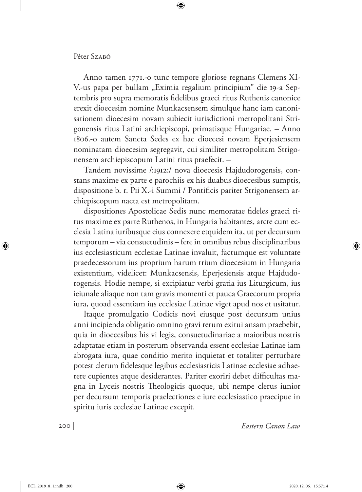#### Péter Szaró

Anno tamen 1771.-o tunc tempore gloriose regnans Clemens XI-V.-us papa per bullam "Eximia regalium principium" die 19-a Septembris pro supra memoratis fidelibus graeci ritus Ruthenis canonice erexit dioecesim nomine Munkacsensem simulque hanc iam canonisationem dioecesim novam subiecit iurisdictioni metropolitani Strigonensis ritus Latini archiepiscopi, primatisque Hungariae. – Anno 1806.-o autem Sancta Sedes ex hac dioecesi novam Eperjesiensem nominatam dioecesim segregavit, cui similiter metropolitam Strigonensem archiepiscopum Latini ritus praefecit. –

Tandem novissime /:1912:/ nova dioecesis Hajdudorogensis, constans maxime ex parte e parochiis ex his duabus dioecesibus sumptis, dispositione b. r. Pii X.-i Summi / Pontificis pariter Strigonensem archiepiscopum nacta est metropolitam.

dispositiones Apostolicae Sedis nunc memoratae fideles graeci ritus maxime ex parte Ruthenos, in Hungaria habitantes, arcte cum ecclesia Latina iuribusque eius connexere etquidem ita, ut per decursum temporum – via consuetudinis – fere in omnibus rebus disciplinaribus ius ecclesiasticum ecclesiae Latinae invaluit, factumque est voluntate praedecessorum ius proprium harum trium dioecesium in Hungaria existentium, videlicet: Munkacsensis, Eperjesiensis atque Hajdudorogensis. Hodie nempe, si excipiatur verbi gratia ius Liturgicum, ius ieiunale aliaque non tam gravis momenti et pauca Graecorum propria iura, quoad essentiam ius ecclesiae Latinae viget apud nos et usitatur.

Itaque promulgatio Codicis novi eiusque post decursum unius anni incipienda obligatio omnino gravi rerum exitui ansam praebebit, quia in dioecesibus his vi legis, consuetudinariae a maioribus nostris adaptatae etiam in posterum observanda essent ecclesiae Latinae iam abrogata iura, quae conditio merito inquietat et totaliter perturbare potest clerum fidelesque legibus ecclesiasticis Latinae ecclesiae adhaerere cupientes atque desiderantes. Pariter exoriri debet difficultas magna in Lyceis nostris Theologicis quoque, ubi nempe clerus iunior per decursum temporis praelectiones e iure ecclesiastico praecipue in spiritu iuris ecclesiae Latinae excepit.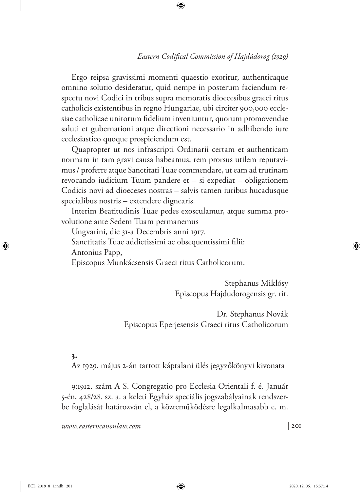Ergo reipsa gravissimi momenti quaestio exoritur, authenticaque omnino solutio desideratur, quid nempe in posterum faciendum respectu novi Codici in tribus supra memoratis dioecesibus graeci ritus catholicis existentibus in regno Hungariae, ubi circiter 900,000 ecclesiae catholicae unitorum fidelium inveniuntur, quorum promovendae saluti et gubernationi atque directioni necessario in adhibendo iure ecclesiastico quoque prospiciendum est.

Quapropter ut nos infrascripti Ordinarii certam et authenticam normam in tam gravi causa habeamus, rem prorsus utilem reputavimus / proferre atque Sanctitati Tuae commendare, ut eam ad trutinam revocando iudicium Tuum pandere et – si expediat – obligationem Codicis novi ad dioeceses nostras – salvis tamen iuribus hucadusque specialibus nostris – extendere dignearis.

Interim Beatitudinis Tuae pedes exosculamur, atque summa provolutione ante Sedem Tuam permanemus

Ungvarini, die 31-a Decembris anni 1917. Sanctitatis Tuae addictissimi ac obsequentissimi filii: Antonius Papp, Episcopus Munkácsensis Graeci ritus Catholicorum.

> Stephanus Miklósy Episcopus Hajdudorogensis gr. rit.

Dr. Stephanus Novák Episcopus Eperjesensis Graeci ritus Catholicorum

## **3.**

Az 1929. május 2-án tartott káptalani ülés jegyzőkönyvi kivonata

9:1912. szám A S. Congregatio pro Ecclesia Orientali f. é. Január 5-én, 428/28. sz. a. a keleti Egyház speciális jogszabályainak rendszerbe foglalását határozván el, a közreműködésre legalkalmasabb e. m.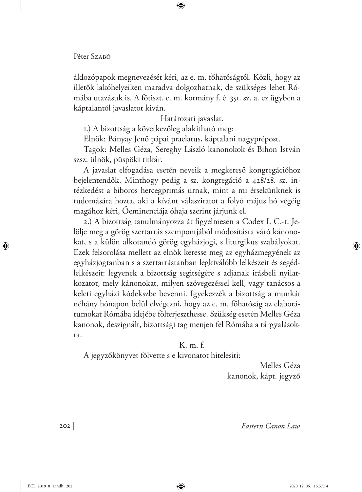áldozópapok megnevezését kéri, az e. m. főhatóságtól. Közli, hogy az illetők lakóhelyeiken maradva dolgozhatnak, de szükséges lehet Rómába utazásuk is. A főtiszt. e. m. kormány f. é. 351. sz. a. ez ügyben a káptalantól javaslatot kiván.

Határozati javaslat.

1.) A bizottság a következőleg alakitható meg:

Elnök: Bányay Jenő pápai praelatus, káptalani nagyprépost.

Tagok: Melles Géza, Sereghy László kanonokok és Bihon István szsz. ülnök, püspöki titkár.

A javaslat elfogadása esetén neveik a megkereső kongregációhoz bejelentendők. Minthogy pedig a sz. kongregáció a 428/28. sz. intézkedést a biboros hercegprimás urnak, mint a mi érsekünknek is tudomására hozta, aki a kívánt válasziratot a folyó május hó végéig magához kéri, Őeminenciája óhaja szerint járjunk el.

2.) A bizottság tanulmányozza át figyelmesen a Codex I. C.-t. Jelölje meg a görög szertartás szempontjából módosításra váró kánonokat, s a külön alkotandó görög egyházjogi, s liturgikus szabályokat. Ezek felsorolása mellett az elnök keresse meg az egyházmegyének az egyházjogtanban s a szertartástanban legkiválóbb lelkészeit és segédlelkészeit: legyenek a bizottság segitségére s adjanak irásbeli nyilatkozatot, mely kánonokat, milyen szövegezéssel kell, vagy tanácsos a keleti egyházi kódekszbe bevenni. Igyekezzék a bizottság a munkát néhány hónapon belül elvégezni, hogy az e. m. főhatóság az elaborátumokat Rómába idejébe fölterjeszthesse. Szükség esetén Melles Géza kanonok, deszignált, bizottsági tag menjen fel Rómába a tárgyalásokra.

# K. m. f.

A jegyzőkönyvet fölvette s e kivonatot hitelesiti:

Melles Géza kanonok, kápt. jegyző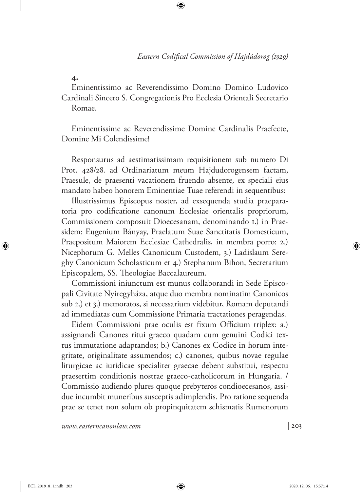**4.**

Eminentissimo ac Reverendissimo Domino Domino Ludovico Cardinali Sincero S. Congregationis Pro Ecclesia Orientali Secretario Romae.

Eminentissime ac Reverendissime Domine Cardinalis Praefecte, Domine Mi Colendissime!

Responsurus ad aestimatissimam requisitionem sub numero Di Prot. 428/28. ad Ordinariatum meum Hajdudorogensem factam, Praesule, de praesenti vacationem fruendo absente, ex speciali eius mandato habeo honorem Eminentiae Tuae referendi in sequentibus:

Illustrissimus Episcopus noster, ad exsequenda studia praeparatoria pro codificatione canonum Ecclesiae orientalis propriorum, Commissionem composuit Dioecesanam, denominando 1.) in Praesidem: Eugenium Bányay, Praelatum Suae Sanctitatis Domesticum, Praepositum Maiorem Ecclesiae Cathedralis, in membra porro: 2.) Nicephorum G. Melles Canonicum Custodem, 3.) Ladislaum Sereghy Canonicum Scholasticum et 4.) Stephanum Bihon, Secretarium Episcopalem, SS. Theologiae Baccalaureum.

Commissioni iniunctum est munus collaborandi in Sede Episcopali Civitate Nyiregyháza, atque duo membra nominatim Canonicos sub 2.) et 3.) memoratos, si necessarium videbitur, Romam deputandi ad immediatas cum Commissione Primaria tractationes peragendas.

Eidem Commissioni prae oculis est fixum Officium triplex: a.) assignandi Canones ritui graeco quadam cum genuini Codici textus immutatione adaptandos; b.) Canones ex Codice in horum integritate, originalitate assumendos; c.) canones, quibus novae regulae liturgicae ac iuridicae specialiter graecae debent substitui, respectu praesertim conditionis nostrae graeco-catholicorum in Hungaria. / Commissio audiendo plures quoque prebyteros condioecesanos, assidue incumbit muneribus susceptis adimplendis. Pro ratione sequenda prae se tenet non solum ob propinquitatem schismatis Rumenorum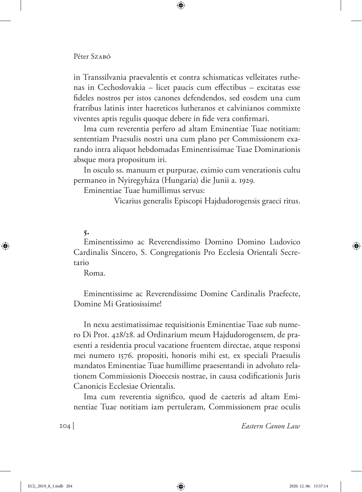in Transsilvania praevalentis et contra schismaticas velleitates ruthenas in Cechoslovakia – licet paucis cum effectibus – excitatas esse fideles nostros per istos canones defendendos, sed eosdem una cum fratribus latinis inter haereticos lutheranos et calvinianos commixte viventes aptis regulis quoque debere in fide vera confirmari.

Ima cum reverentia perfero ad altam Eminentiae Tuae notitiam: sententiam Praesulis nostri una cum plano per Commissionem exarando intra aliquot hebdomadas Eminentissimae Tuae Dominationis absque mora propositum iri.

In osculo ss. manuum et purpurae, eximio cum venerationis cultu permaneo in Nyiregyháza (Hungaria) die Junii a. 1929.

Eminentiae Tuae humillimus servus:

Vicarius generalis Episcopi Hajdudorogensis graeci ritus.

## **5.**

Eminentissimo ac Reverendissimo Domino Domino Ludovico Cardinalis Sincero, S. Congregationis Pro Ecclesia Orientali Secretario

Roma.

Eminentissime ac Reverendissime Domine Cardinalis Praefecte, Domine Mi Gratiosissime!

In nexu aestimatissimae requisitionis Eminentiae Tuae sub numero Di Prot. 428/28. ad Ordinarium meum Hajdudorogensem, de praesenti a residentia procul vacatione fruentem directae, atque responsi mei numero 1576. propositi, honoris mihi est, ex speciali Praesulis mandatos Eminentiae Tuae humillime praesentandi in advoluto relationem Commissionis Dioecesis nostrae, in causa codificationis Juris Canonicis Ecclesiae Orientalis.

Ima cum reverentia significo, quod de caeteris ad altam Eminentiae Tuae notitiam iam pertuleram, Commissionem prae oculis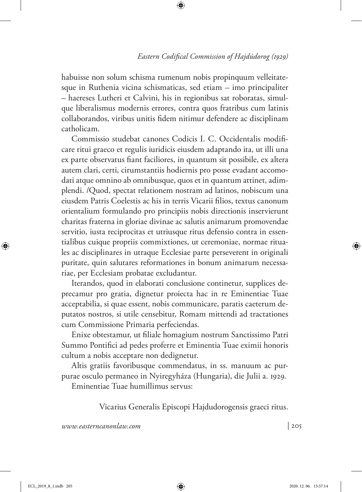habuisse non solum schisma rumenum nobis propinquum velleitatesque in Ruthenia vicina schismaticas, sed etiam – imo principaliter – haereses Lutheri et Calvini, his in regionibus sat roboratas, simulque liberalismus modernis errores, contra quos fratribus cum latinis collaborandos, viribus unitis fidem nitimur defendere ac disciplinam catholicam.

Commissio studebat canones Codicis I. C. Occidentalis modificare ritui graeco et regulis iuridicis eiusdem adaptando ita, ut illi una ex parte observatus fiant faciliores, in quantum sit possibile, ex altera autem clari, certi, cirumstantiis hodiernis pro posse evadant accomodati atque omnino ab omnibusque, quos et in quantum attinet, adimplendi. /Quod, spectat relationem nostram ad latinos, nobiscum una eiusdem Patris Coelestis ac his in terris Vicarii filios, textus canonum orientalium formulando pro principiis nobis directionis inservierunt charitas fraterna in gloriae divinae ac salutis animarum promovendae servitio, iusta reciprocitas et utriusque ritus defensio contra in essentialibus cuique propriis commixtiones, ut ceremoniae, normae rituales ac disciplinares in utraque Ecclesiae parte perseverent in originali puritate, quin salutares reformationes in bonum animarum necessariae, per Ecclesiam probatae excludantur.

Iterandos, quod in elaborati conclusione continetur, supplices deprecamur pro gratia, dignetur proiecta hac in re Eminentiae Tuae acceptabilia, si quae essent, nobis communicare, paratis caeterum deputatos nostros, si utile censebitur, Romam mittendi ad tractationes cum Commissione Primaria perfeciendas.

Enixe obtestamur, ut filiale homagium nostrum Sanctissimo Patri Summo Pontifici ad pedes proferre et Eminentia Tuae eximii honoris cultum a nobis acceptare non dedignetur.

Altis gratiis favoribusque commendatus, in ss. manuum ac purpurae osculo permaneo in Nyiregyháza (Hungaria), die Julii a. 1929.

Eminentiae Tuae humillimus servus:

Vicarius Generalis Episcopi Hajdudorogensis graeci ritus.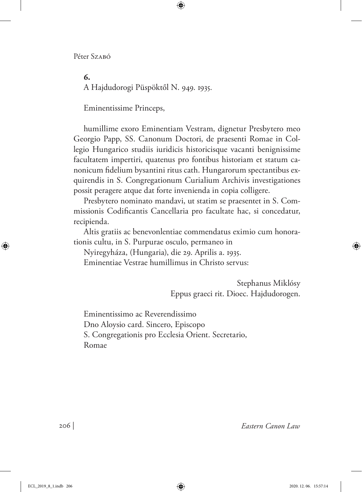**6.**

A Hajdudorogi Püspöktől N. 949. 1935.

Eminentissime Princeps,

humillime exoro Eminentiam Vestram, dignetur Presbytero meo Georgio Papp, SS. Canonum Doctori, de praesenti Romae in Collegio Hungarico studiis iuridicis historicisque vacanti benignissime facultatem impertiri, quatenus pro fontibus historiam et statum canonicum fidelium bysantini ritus cath. Hungarorum spectantibus exquirendis in S. Congregationum Curialium Archivis investigationes possit peragere atque dat forte invenienda in copia colligere.

Presbytero nominato mandavi, ut statim se praesentet in S. Commissionis Codificantis Cancellaria pro facultate hac, si concedatur, recipienda.

Altis gratiis ac benevonlentiae commendatus eximio cum honorationis cultu, in S. Purpurae osculo, permaneo in

Nyiregyháza, (Hungaria), die 29. Aprilis a. 1935. Eminentiae Vestrae humillimus in Christo servus:

> Stephanus Miklósy Eppus graeci rit. Dioec. Hajdudorogen.

Eminentissimo ac Reverendissimo Dno Aloysio card. Sincero, Episcopo S. Congregationis pro Ecclesia Orient. Secretario, Romae